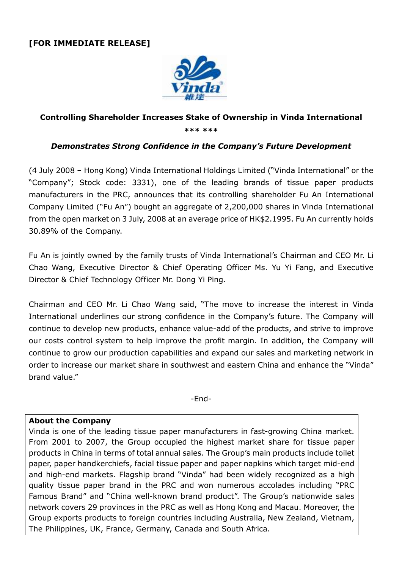## [FOR IMMEDIATE RELEASE]



## Controlling Shareholder Increases Stake of Ownership in Vinda International \*\*\* \*\*\*

## Demonstrates Strong Confidence in the Company's Future Development

(4 July 2008 – Hong Kong) Vinda International Holdings Limited ("Vinda International" or the "Company"; Stock code: 3331), one of the leading brands of tissue paper products manufacturers in the PRC, announces that its controlling shareholder Fu An International Company Limited ("Fu An") bought an aggregate of 2,200,000 shares in Vinda International from the open market on 3 July, 2008 at an average price of HK\$2.1995. Fu An currently holds 30.89% of the Company.

Fu An is jointly owned by the family trusts of Vinda International's Chairman and CEO Mr. Li Chao Wang, Executive Director & Chief Operating Officer Ms. Yu Yi Fang, and Executive Director & Chief Technology Officer Mr. Dong Yi Ping.

Chairman and CEO Mr. Li Chao Wang said, "The move to increase the interest in Vinda International underlines our strong confidence in the Company's future. The Company will continue to develop new products, enhance value-add of the products, and strive to improve our costs control system to help improve the profit margin. In addition, the Company will continue to grow our production capabilities and expand our sales and marketing network in order to increase our market share in southwest and eastern China and enhance the "Vinda" brand value."

-End-

## About the Company

Vinda is one of the leading tissue paper manufacturers in fast-growing China market. From 2001 to 2007, the Group occupied the highest market share for tissue paper products in China in terms of total annual sales. The Group's main products include toilet paper, paper handkerchiefs, facial tissue paper and paper napkins which target mid-end and high-end markets. Flagship brand "Vinda" had been widely recognized as a high quality tissue paper brand in the PRC and won numerous accolades including "PRC Famous Brand" and "China well-known brand product". The Group's nationwide sales network covers 29 provinces in the PRC as well as Hong Kong and Macau. Moreover, the Group exports products to foreign countries including Australia, New Zealand, Vietnam, The Philippines, UK, France, Germany, Canada and South Africa.